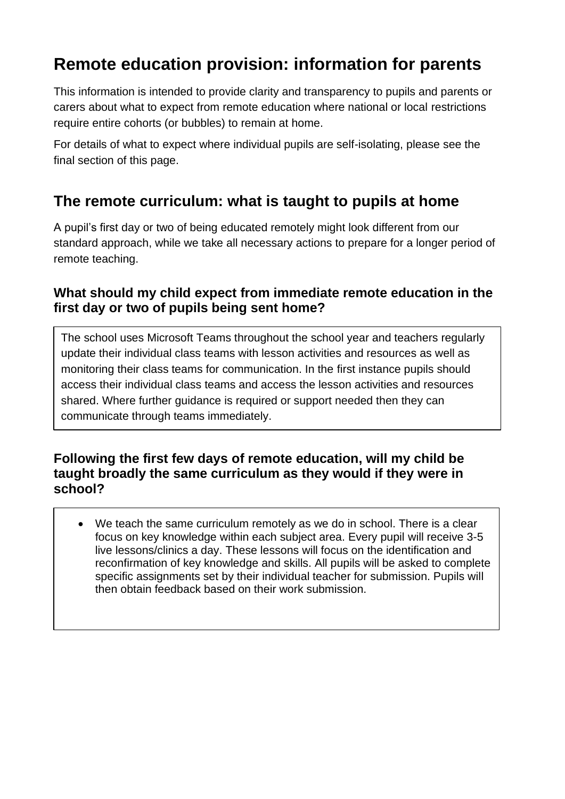# **Remote education provision: information for parents**

This information is intended to provide clarity and transparency to pupils and parents or carers about what to expect from remote education where national or local restrictions require entire cohorts (or bubbles) to remain at home.

For details of what to expect where individual pupils are self-isolating, please see the final section of this page.

## **The remote curriculum: what is taught to pupils at home**

A pupil's first day or two of being educated remotely might look different from our standard approach, while we take all necessary actions to prepare for a longer period of remote teaching.

### **What should my child expect from immediate remote education in the first day or two of pupils being sent home?**

The school uses Microsoft Teams throughout the school year and teachers regularly update their individual class teams with lesson activities and resources as well as monitoring their class teams for communication. In the first instance pupils should access their individual class teams and access the lesson activities and resources shared. Where further guidance is required or support needed then they can communicate through teams immediately.

### **Following the first few days of remote education, will my child be taught broadly the same curriculum as they would if they were in school?**

• We teach the same curriculum remotely as we do in school. There is a clear focus on key knowledge within each subject area. Every pupil will receive 3-5 live lessons/clinics a day. These lessons will focus on the identification and reconfirmation of key knowledge and skills. All pupils will be asked to complete specific assignments set by their individual teacher for submission. Pupils will then obtain feedback based on their work submission.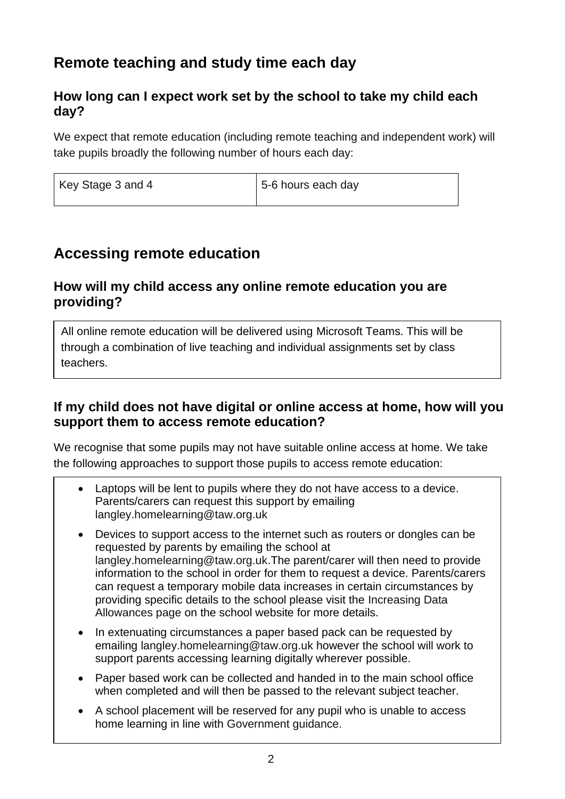## **Remote teaching and study time each day**

### **How long can I expect work set by the school to take my child each day?**

We expect that remote education (including remote teaching and independent work) will take pupils broadly the following number of hours each day:

| Key Stage 3 and 4 | 5-6 hours each day |
|-------------------|--------------------|
|-------------------|--------------------|

## **Accessing remote education**

#### **How will my child access any online remote education you are providing?**

All online remote education will be delivered using Microsoft Teams. This will be through a combination of live teaching and individual assignments set by class teachers.

### **If my child does not have digital or online access at home, how will you support them to access remote education?**

We recognise that some pupils may not have suitable online access at home. We take the following approaches to support those pupils to access remote education:

- Laptops will be lent to pupils where they do not have access to a device. Parents/carers can request this support by emailing [langley.homelearning@taw.org.uk](mailto:langley.homelearning@taw.org.uk)
- Devices to support access to the internet such as routers or dongles can be requested by parents by emailing the school at [langley.homelearning@taw.org.uk.](mailto:langley.homelearning@taw.org.uk)The parent/carer will then need to provide information to the school in order for them to request a device. Parents/carers can request a temporary mobile data increases in certain circumstances by providing specific details to the school please visit the [Increasing Data](http://www.telfordlangleyschool.co.uk/news-and-events/latest-news/increasing-data-allowances/)  [Allowances](http://www.telfordlangleyschool.co.uk/news-and-events/latest-news/increasing-data-allowances/) page on the school website for more details.
- In extenuating circumstances a paper based pack can be requested by emailing [langley.homelearning@taw.org.uk](mailto:langley.homelearning@taw.org.uk) however the school will work to support parents accessing learning digitally wherever possible.
- Paper based work can be collected and handed in to the main school office when completed and will then be passed to the relevant subject teacher.
- A school placement will be reserved for any pupil who is unable to access home learning in line with [Government guidance.](https://www.gov.uk/government/publications/coronavirus-covid-19-maintaining-educational-provision/guidance-for-schools-colleges-and-local-authorities-on-maintaining-educational-provision)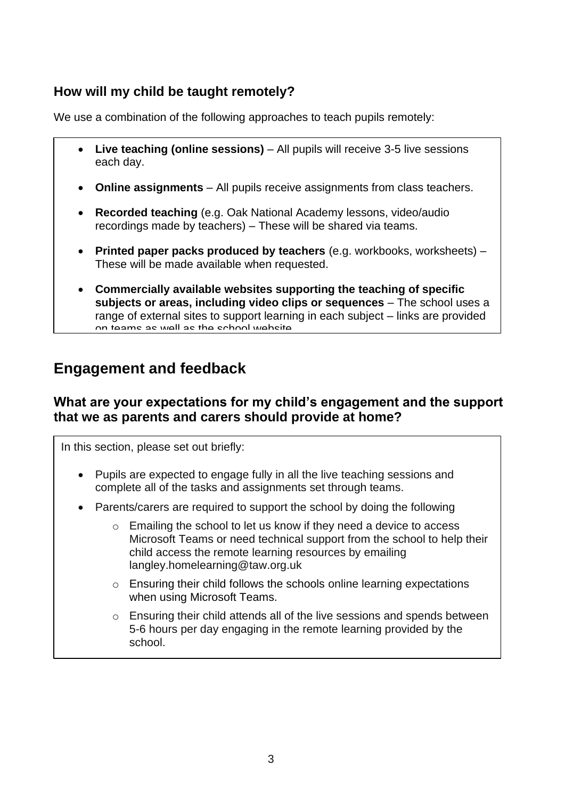### **How will my child be taught remotely?**

We use a combination of the following approaches to teach pupils remotely:

- **Live teaching (online sessions)** All pupils will receive 3-5 live sessions each day.
- **Online assignments**  All pupils receive assignments from class teachers.
- **Recorded teaching** (e.g. Oak National Academy lessons, video/audio recordings made by teachers) – These will be shared via teams.
- **Printed paper packs produced by teachers** (e.g. workbooks, worksheets) These will be made available when requested.
- **Commercially available websites supporting the teaching of specific subjects or areas, including video clips or sequences** – The school uses a range of external sites to support learning in each subject – links are provided on teams as well as the school website

## **Engagement and feedback**

#### **What are your expectations for my child's engagement and the support that we as parents and carers should provide at home?**

In this section, please set out briefly:

- Pupils are expected to engage fully in all the live teaching sessions and complete all of the tasks and assignments set through teams.
- Parents/carers are required to support the school by doing the following
	- o Emailing the school to let us know if they need a device to access Microsoft Teams or need technical support from the school to help their child access the remote learning resources by emailing [langley.homelearning@taw.org.uk](mailto:langley.homelearning@taw.org.uk)
	- o Ensuring their child follows the schools [online learning expectations](http://www.telfordlangleyschool.co.uk/assets/20202021updates/onlinelearningexpectationsnov2020.pdf) when using Microsoft Teams.
	- o Ensuring their child attends all of the live sessions and spends between 5-6 hours per day engaging in the remote learning provided by the school.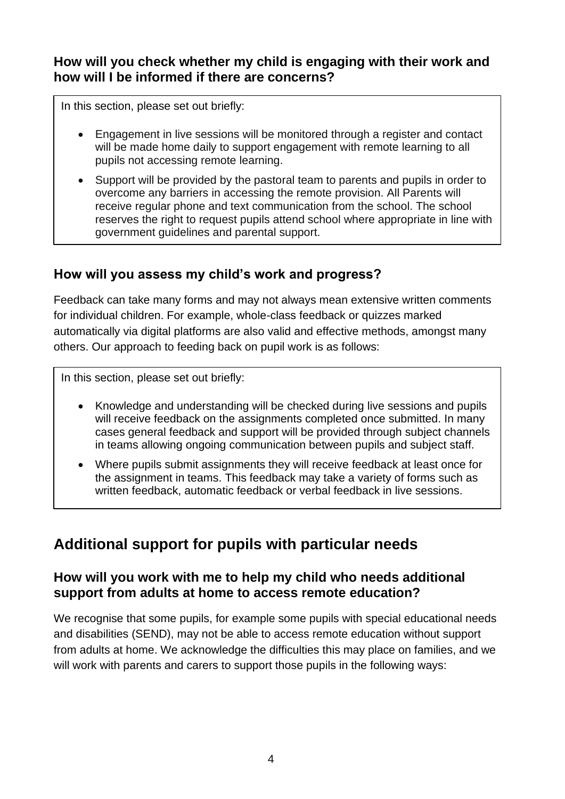### **How will you check whether my child is engaging with their work and how will I be informed if there are concerns?**

In this section, please set out briefly:

- Engagement in live sessions will be monitored through a register and contact will be made home daily to support engagement with remote learning to all pupils not accessing remote learning.
- Support will be provided by the pastoral team to parents and pupils in order to overcome any barriers in accessing the remote provision. All Parents will receive regular phone and text communication from the school. The school reserves the right to request pupils attend school where appropriate in line with government guidelines and parental support.

### **How will you assess my child's work and progress?**

Feedback can take many forms and may not always mean extensive written comments for individual children. For example, whole-class feedback or quizzes marked automatically via digital platforms are also valid and effective methods, amongst many others. Our approach to feeding back on pupil work is as follows:

In this section, please set out briefly:

- Knowledge and understanding will be checked during live sessions and pupils will receive feedback on the assignments completed once submitted. In many cases general feedback and support will be provided through subject channels in teams allowing ongoing communication between pupils and subject staff.
- Where pupils submit assignments they will receive feedback at least once for the assignment in teams. This feedback may take a variety of forms such as written feedback, automatic feedback or verbal feedback in live sessions.

## **Additional support for pupils with particular needs**

#### **How will you work with me to help my child who needs additional support from adults at home to access remote education?**

We recognise that some pupils, for example some pupils with special educational needs and disabilities (SEND), may not be able to access remote education without support from adults at home. We acknowledge the difficulties this may place on families, and we will work with parents and carers to support those pupils in the following ways: